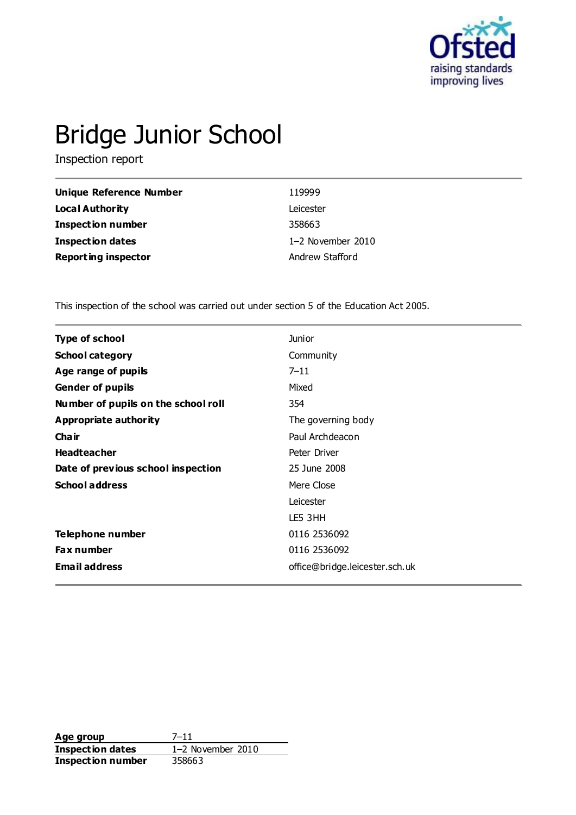

# Bridge Junior School

Inspection report

| Unique Reference Number    | 119999            |
|----------------------------|-------------------|
| Local Authority            | Leicester         |
| <b>Inspection number</b>   | 358663            |
| Inspection dates           | 1-2 November 2010 |
| <b>Reporting inspector</b> | Andrew Stafford   |

This inspection of the school was carried out under section 5 of the Education Act 2005.

| <b>Type of school</b>               | <b>Junior</b>                  |
|-------------------------------------|--------------------------------|
| <b>School category</b>              | Community                      |
| Age range of pupils                 | $7 - 11$                       |
| <b>Gender of pupils</b>             | Mixed                          |
| Number of pupils on the school roll | 354                            |
| Appropriate authority               | The governing body             |
| Cha ir                              | Paul Archdeacon                |
| <b>Headteacher</b>                  | Peter Driver                   |
| Date of previous school inspection  | 25 June 2008                   |
| <b>School address</b>               | Mere Close                     |
|                                     | Leicester                      |
|                                     | LE5 3HH                        |
| Telephone number                    | 0116 2536092                   |
| <b>Fax number</b>                   | 0116 2536092                   |
| <b>Email address</b>                | office@bridge.leicester.sch.uk |
|                                     |                                |

**Age group** 7-11<br> **Inspection dates** 1-2 November 2010 **Inspection dates Inspection number** 358663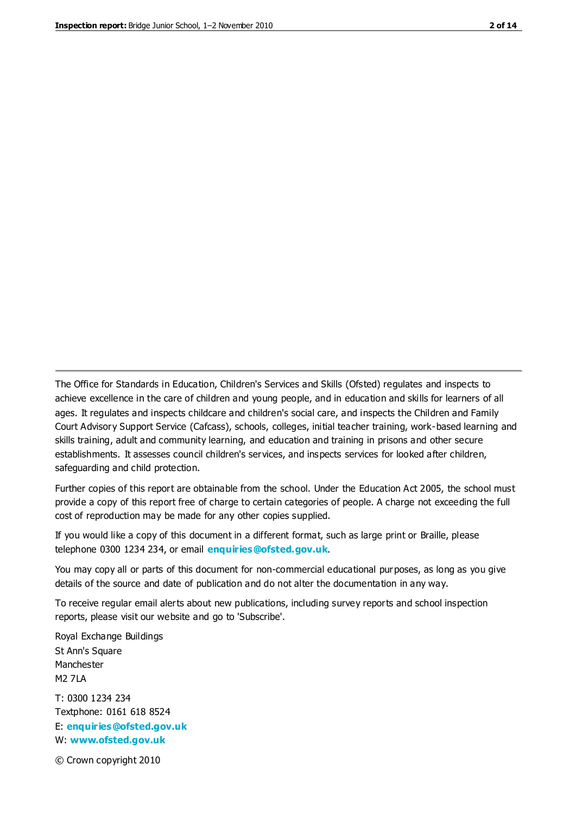The Office for Standards in Education, Children's Services and Skills (Ofsted) regulates and inspects to achieve excellence in the care of children and young people, and in education and skills for learners of all ages. It regulates and inspects childcare and children's social care, and inspects the Children and Family Court Advisory Support Service (Cafcass), schools, colleges, initial teacher training, work-based learning and skills training, adult and community learning, and education and training in prisons and other secure establishments. It assesses council children's services, and inspects services for looked after children, safeguarding and child protection.

Further copies of this report are obtainable from the school. Under the Education Act 2005, the school must provide a copy of this report free of charge to certain categories of people. A charge not exceeding the full cost of reproduction may be made for any other copies supplied.

If you would like a copy of this document in a different format, such as large print or Braille, please telephone 0300 1234 234, or email **[enquiries@ofsted.gov.uk](mailto:enquiries@ofsted.gov.uk)**.

You may copy all or parts of this document for non-commercial educational purposes, as long as you give details of the source and date of publication and do not alter the documentation in any way.

To receive regular email alerts about new publications, including survey reports and school inspection reports, please visit our website and go to 'Subscribe'.

Royal Exchange Buildings St Ann's Square Manchester M2 7LA T: 0300 1234 234 Textphone: 0161 618 8524 E: **[enquiries@ofsted.gov.uk](mailto:enquiries@ofsted.gov.uk)** W: **[www.ofsted.gov.uk](http://www.ofsted.gov.uk/)**

© Crown copyright 2010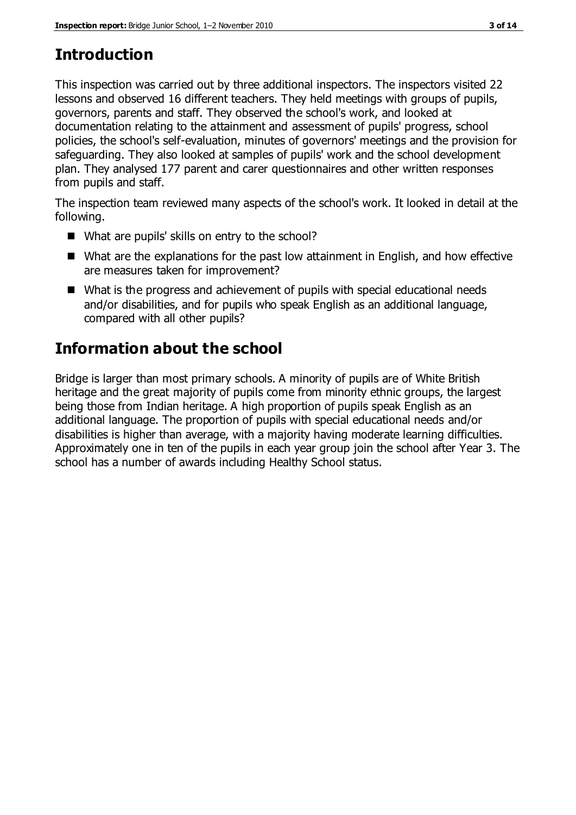# **Introduction**

This inspection was carried out by three additional inspectors. The inspectors visited 22 lessons and observed 16 different teachers. They held meetings with groups of pupils, governors, parents and staff. They observed the school's work, and looked at documentation relating to the attainment and assessment of pupils' progress, school policies, the school's self-evaluation, minutes of governors' meetings and the provision for safeguarding. They also looked at samples of pupils' work and the school development plan. They analysed 177 parent and carer questionnaires and other written responses from pupils and staff.

The inspection team reviewed many aspects of the school's work. It looked in detail at the following.

- What are pupils' skills on entry to the school?
- What are the explanations for the past low attainment in English, and how effective are measures taken for improvement?
- What is the progress and achievement of pupils with special educational needs and/or disabilities, and for pupils who speak English as an additional language, compared with all other pupils?

# **Information about the school**

Bridge is larger than most primary schools. A minority of pupils are of White British heritage and the great majority of pupils come from minority ethnic groups, the largest being those from Indian heritage. A high proportion of pupils speak English as an additional language. The proportion of pupils with special educational needs and/or disabilities is higher than average, with a majority having moderate learning difficulties. Approximately one in ten of the pupils in each year group join the school after Year 3. The school has a number of awards including Healthy School status.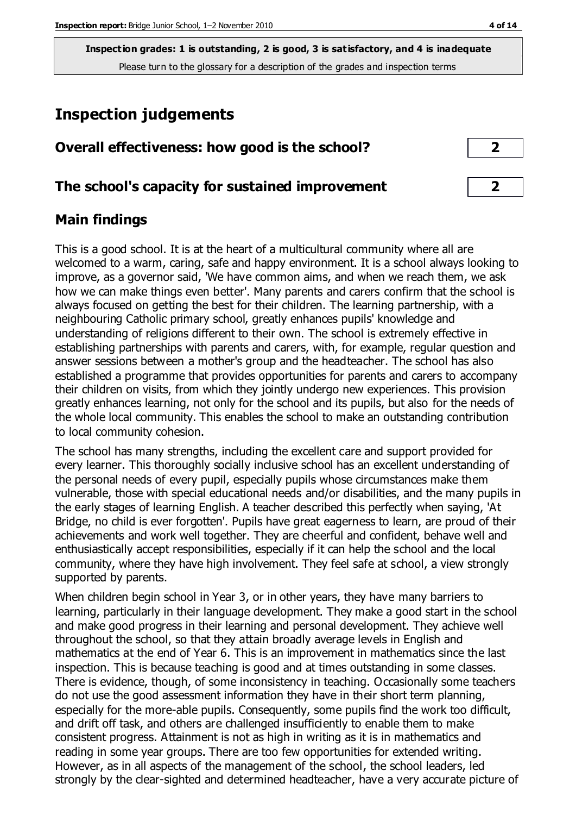# **Inspection judgements**

| Overall effectiveness: how good is the school? |
|------------------------------------------------|
|                                                |

### **The school's capacity for sustained improvement 2**

# **Main findings**

This is a good school. It is at the heart of a multicultural community where all are welcomed to a warm, caring, safe and happy environment. It is a school always looking to improve, as a governor said, 'We have common aims, and when we reach them, we ask how we can make things even better'. Many parents and carers confirm that the school is always focused on getting the best for their children. The learning partnership, with a neighbouring Catholic primary school, greatly enhances pupils' knowledge and understanding of religions different to their own. The school is extremely effective in establishing partnerships with parents and carers, with, for example, regular question and answer sessions between a mother's group and the headteacher. The school has also established a programme that provides opportunities for parents and carers to accompany their children on visits, from which they jointly undergo new experiences. This provision greatly enhances learning, not only for the school and its pupils, but also for the needs of the whole local community. This enables the school to make an outstanding contribution to local community cohesion.

The school has many strengths, including the excellent care and support provided for every learner. This thoroughly socially inclusive school has an excellent understanding of the personal needs of every pupil, especially pupils whose circumstances make them vulnerable, those with special educational needs and/or disabilities, and the many pupils in the early stages of learning English. A teacher described this perfectly when saying, 'At Bridge, no child is ever forgotten'. Pupils have great eagerness to learn, are proud of their achievements and work well together. They are cheerful and confident, behave well and enthusiastically accept responsibilities, especially if it can help the school and the local community, where they have high involvement. They feel safe at school, a view strongly supported by parents.

When children begin school in Year 3, or in other years, they have many barriers to learning, particularly in their language development. They make a good start in the school and make good progress in their learning and personal development. They achieve well throughout the school, so that they attain broadly average levels in English and mathematics at the end of Year 6. This is an improvement in mathematics since the last inspection. This is because teaching is good and at times outstanding in some classes. There is evidence, though, of some inconsistency in teaching. Occasionally some teachers do not use the good assessment information they have in their short term planning, especially for the more-able pupils. Consequently, some pupils find the work too difficult, and drift off task, and others are challenged insufficiently to enable them to make consistent progress. Attainment is not as high in writing as it is in mathematics and reading in some year groups. There are too few opportunities for extended writing. However, as in all aspects of the management of the school, the school leaders, led strongly by the clear-sighted and determined headteacher, have a very accurate picture of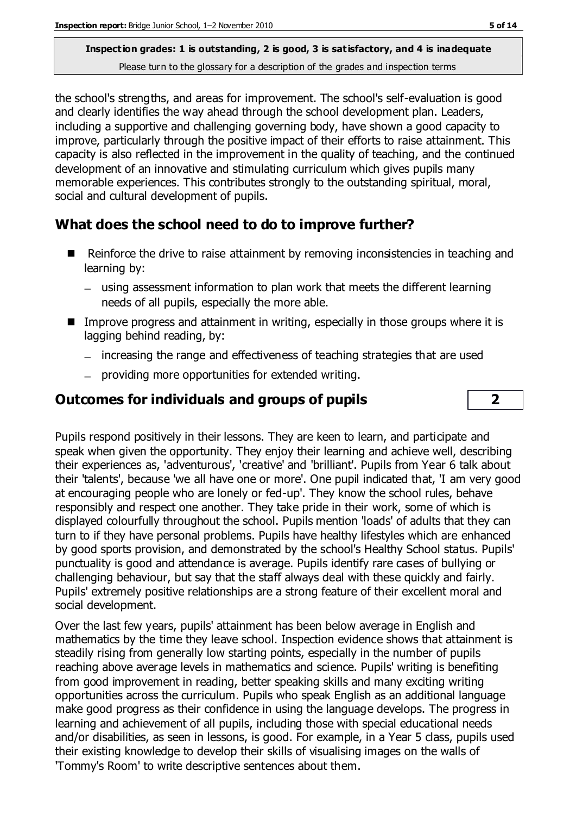the school's strengths, and areas for improvement. The school's self-evaluation is good and clearly identifies the way ahead through the school development plan. Leaders, including a supportive and challenging governing body, have shown a good capacity to improve, particularly through the positive impact of their efforts to raise attainment. This capacity is also reflected in the improvement in the quality of teaching, and the continued development of an innovative and stimulating curriculum which gives pupils many memorable experiences. This contributes strongly to the outstanding spiritual, moral, social and cultural development of pupils.

# **What does the school need to do to improve further?**

- Reinforce the drive to raise attainment by removing inconsistencies in teaching and learning by:
	- using assessment information to plan work that meets the different learning needs of all pupils, especially the more able.
- Improve progress and attainment in writing, especially in those groups where it is lagging behind reading, by:
	- increasing the range and effectiveness of teaching strategies that are used
	- providing more opportunities for extended writing.

# **Outcomes for individuals and groups of pupils 2**

Pupils respond positively in their lessons. They are keen to learn, and participate and speak when given the opportunity. They enjoy their learning and achieve well, describing their experiences as, 'adventurous', 'creative' and 'brilliant'. Pupils from Year 6 talk about their 'talents', because 'we all have one or more'. One pupil indicated that, 'I am very good at encouraging people who are lonely or fed-up'. They know the school rules, behave responsibly and respect one another. They take pride in their work, some of which is displayed colourfully throughout the school. Pupils mention 'loads' of adults that they can turn to if they have personal problems. Pupils have healthy lifestyles which are enhanced by good sports provision, and demonstrated by the school's Healthy School status. Pupils' punctuality is good and attendance is average. Pupils identify rare cases of bullying or challenging behaviour, but say that the staff always deal with these quickly and fairly. Pupils' extremely positive relationships are a strong feature of their excellent moral and social development.

Over the last few years, pupils' attainment has been below average in English and mathematics by the time they leave school. Inspection evidence shows that attainment is steadily rising from generally low starting points, especially in the number of pupils reaching above average levels in mathematics and science. Pupils' writing is benefiting from good improvement in reading, better speaking skills and many exciting writing opportunities across the curriculum. Pupils who speak English as an additional language make good progress as their confidence in using the language develops. The progress in learning and achievement of all pupils, including those with special educational needs and/or disabilities, as seen in lessons, is good. For example, in a Year 5 class, pupils used their existing knowledge to develop their skills of visualising images on the walls of 'Tommy's Room' to write descriptive sentences about them.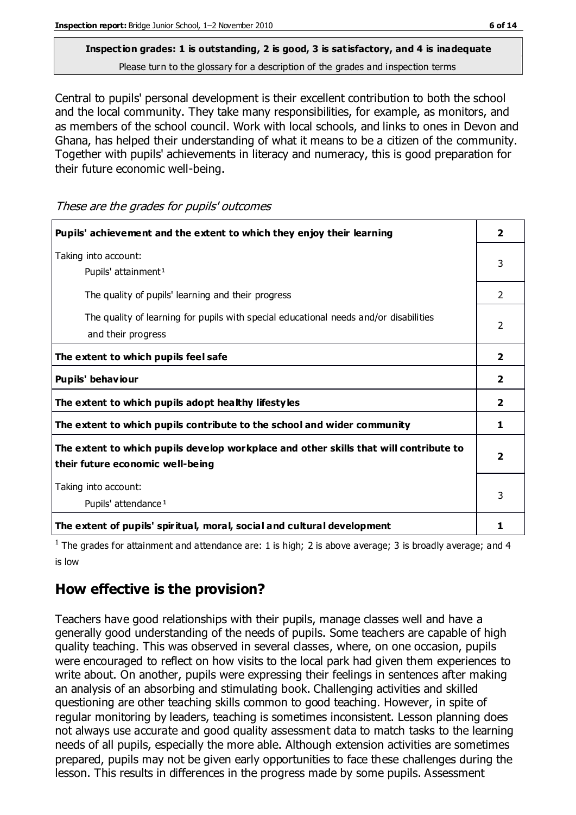# **Inspection grades: 1 is outstanding, 2 is good, 3 is satisfactory, and 4 is inadequate**

Please turn to the glossary for a description of the grades and inspection terms

Central to pupils' personal development is their excellent contribution to both the school and the local community. They take many responsibilities, for example, as monitors, and as members of the school council. Work with local schools, and links to ones in Devon and Ghana, has helped their understanding of what it means to be a citizen of the community. Together with pupils' achievements in literacy and numeracy, this is good preparation for their future economic well-being.

| Pupils' achievement and the extent to which they enjoy their learning                                                     | 2              |
|---------------------------------------------------------------------------------------------------------------------------|----------------|
| Taking into account:<br>Pupils' attainment <sup>1</sup>                                                                   | 3              |
| The quality of pupils' learning and their progress                                                                        | 2              |
| The quality of learning for pupils with special educational needs and/or disabilities<br>and their progress               | $\mathcal{P}$  |
| The extent to which pupils feel safe                                                                                      | $\overline{2}$ |
| Pupils' behaviour                                                                                                         | 2              |
| The extent to which pupils adopt healthy lifestyles                                                                       | $\overline{2}$ |
| The extent to which pupils contribute to the school and wider community                                                   | 1.             |
| The extent to which pupils develop workplace and other skills that will contribute to<br>their future economic well-being | 2              |
| Taking into account:<br>Pupils' attendance <sup>1</sup>                                                                   | 3              |
| The extent of pupils' spiritual, moral, social and cultural development                                                   | ı              |

These are the grades for pupils' outcomes

<sup>1</sup> The grades for attainment and attendance are: 1 is high; 2 is above average; 3 is broadly average; and 4 is low

#### **How effective is the provision?**

Teachers have good relationships with their pupils, manage classes well and have a generally good understanding of the needs of pupils. Some teachers are capable of high quality teaching. This was observed in several classes, where, on one occasion, pupils were encouraged to reflect on how visits to the local park had given them experiences to write about. On another, pupils were expressing their feelings in sentences after making an analysis of an absorbing and stimulating book. Challenging activities and skilled questioning are other teaching skills common to good teaching. However, in spite of regular monitoring by leaders, teaching is sometimes inconsistent. Lesson planning does not always use accurate and good quality assessment data to match tasks to the learning needs of all pupils, especially the more able. Although extension activities are sometimes prepared, pupils may not be given early opportunities to face these challenges during the lesson. This results in differences in the progress made by some pupils. Assessment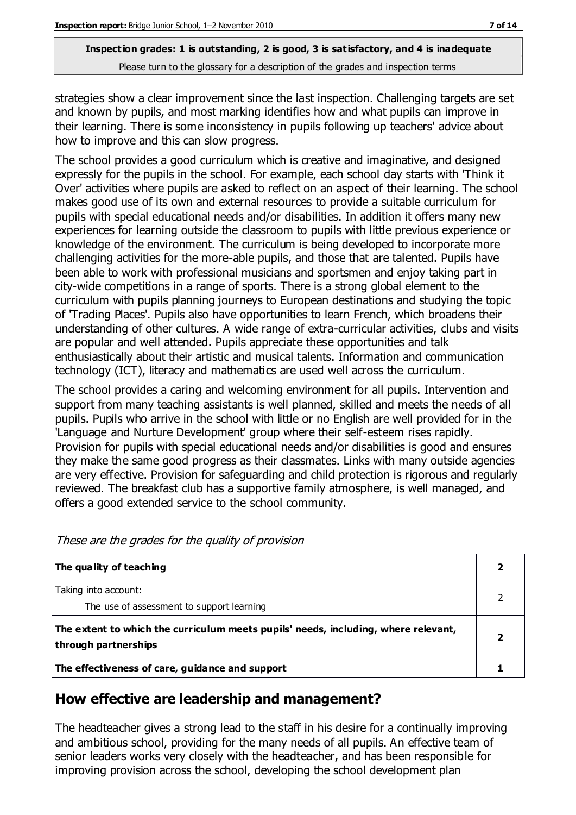strategies show a clear improvement since the last inspection. Challenging targets are set and known by pupils, and most marking identifies how and what pupils can improve in their learning. There is some inconsistency in pupils following up teachers' advice about how to improve and this can slow progress.

The school provides a good curriculum which is creative and imaginative, and designed expressly for the pupils in the school. For example, each school day starts with 'Think it Over' activities where pupils are asked to reflect on an aspect of their learning. The school makes good use of its own and external resources to provide a suitable curriculum for pupils with special educational needs and/or disabilities. In addition it offers many new experiences for learning outside the classroom to pupils with little previous experience or knowledge of the environment. The curriculum is being developed to incorporate more challenging activities for the more-able pupils, and those that are talented. Pupils have been able to work with professional musicians and sportsmen and enjoy taking part in city-wide competitions in a range of sports. There is a strong global element to the curriculum with pupils planning journeys to European destinations and studying the topic of 'Trading Places'. Pupils also have opportunities to learn French, which broadens their understanding of other cultures. A wide range of extra-curricular activities, clubs and visits are popular and well attended. Pupils appreciate these opportunities and talk enthusiastically about their artistic and musical talents. Information and communication technology (ICT), literacy and mathematics are used well across the curriculum.

The school provides a caring and welcoming environment for all pupils. Intervention and support from many teaching assistants is well planned, skilled and meets the needs of all pupils. Pupils who arrive in the school with little or no English are well provided for in the 'Language and Nurture Development' group where their self-esteem rises rapidly. Provision for pupils with special educational needs and/or disabilities is good and ensures they make the same good progress as their classmates. Links with many outside agencies are very effective. Provision for safeguarding and child protection is rigorous and regularly reviewed. The breakfast club has a supportive family atmosphere, is well managed, and offers a good extended service to the school community.

| The quality of teaching                                                                                    |  |
|------------------------------------------------------------------------------------------------------------|--|
| Taking into account:<br>The use of assessment to support learning                                          |  |
| The extent to which the curriculum meets pupils' needs, including, where relevant,<br>through partnerships |  |
| The effectiveness of care, guidance and support                                                            |  |

These are the grades for the quality of provision

# **How effective are leadership and management?**

The headteacher gives a strong lead to the staff in his desire for a continually improving and ambitious school, providing for the many needs of all pupils. An effective team of senior leaders works very closely with the headteacher, and has been responsible for improving provision across the school, developing the school development plan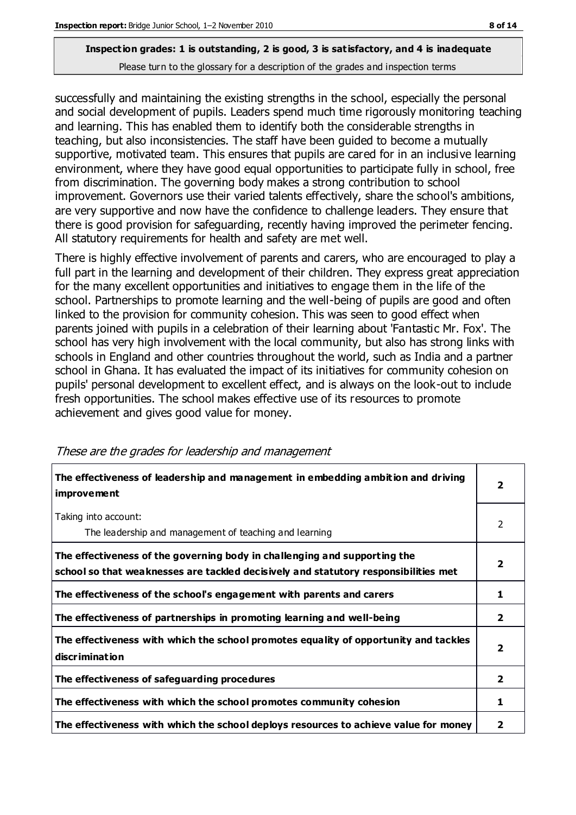successfully and maintaining the existing strengths in the school, especially the personal and social development of pupils. Leaders spend much time rigorously monitoring teaching and learning. This has enabled them to identify both the considerable strengths in teaching, but also inconsistencies. The staff have been guided to become a mutually supportive, motivated team. This ensures that pupils are cared for in an inclusive learning environment, where they have good equal opportunities to participate fully in school, free from discrimination. The governing body makes a strong contribution to school improvement. Governors use their varied talents effectively, share the school's ambitions, are very supportive and now have the confidence to challenge leaders. They ensure that there is good provision for safeguarding, recently having improved the perimeter fencing. All statutory requirements for health and safety are met well.

There is highly effective involvement of parents and carers, who are encouraged to play a full part in the learning and development of their children. They express great appreciation for the many excellent opportunities and initiatives to engage them in the life of the school. Partnerships to promote learning and the well-being of pupils are good and often linked to the provision for community cohesion. This was seen to good effect when parents joined with pupils in a celebration of their learning about 'Fantastic Mr. Fox'. The school has very high involvement with the local community, but also has strong links with schools in England and other countries throughout the world, such as India and a partner school in Ghana. It has evaluated the impact of its initiatives for community cohesion on pupils' personal development to excellent effect, and is always on the look-out to include fresh opportunities. The school makes effective use of its resources to promote achievement and gives good value for money.

| The effectiveness of leadership and management in embedding ambition and driving<br><i>improvement</i>                                                           |                         |
|------------------------------------------------------------------------------------------------------------------------------------------------------------------|-------------------------|
| Taking into account:<br>The leadership and management of teaching and learning                                                                                   | 2                       |
| The effectiveness of the governing body in challenging and supporting the<br>school so that weaknesses are tackled decisively and statutory responsibilities met | $\overline{\mathbf{2}}$ |
| The effectiveness of the school's engagement with parents and carers                                                                                             | 1                       |
| The effectiveness of partnerships in promoting learning and well-being                                                                                           | 2                       |
| The effectiveness with which the school promotes equality of opportunity and tackles<br>discrimination                                                           | $\overline{\mathbf{2}}$ |
| The effectiveness of safeguarding procedures                                                                                                                     | $\overline{2}$          |
| The effectiveness with which the school promotes community cohesion                                                                                              |                         |
| The effectiveness with which the school deploys resources to achieve value for money                                                                             |                         |

These are the grades for leadership and management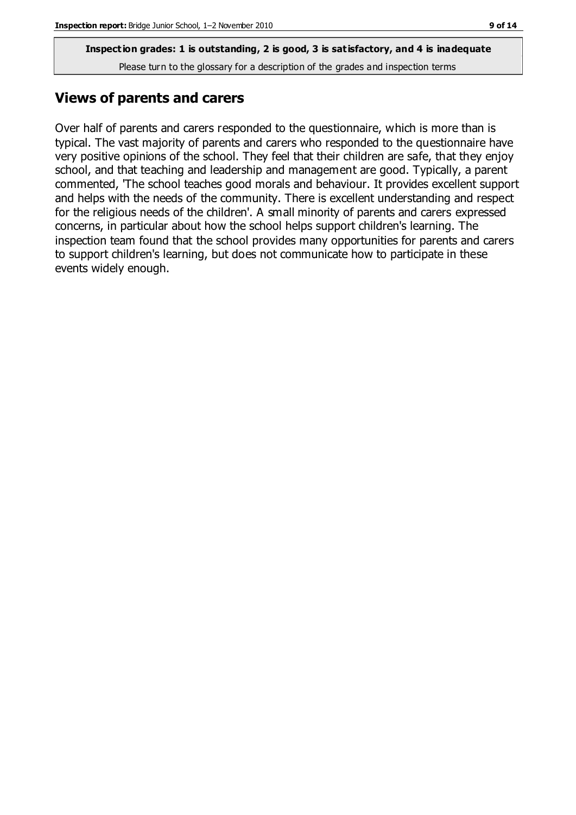### **Views of parents and carers**

Over half of parents and carers responded to the questionnaire, which is more than is typical. The vast majority of parents and carers who responded to the questionnaire have very positive opinions of the school. They feel that their children are safe, that they enjoy school, and that teaching and leadership and management are good. Typically, a parent commented, 'The school teaches good morals and behaviour. It provides excellent support and helps with the needs of the community. There is excellent understanding and respect for the religious needs of the children'. A small minority of parents and carers expressed concerns, in particular about how the school helps support children's learning. The inspection team found that the school provides many opportunities for parents and carers to support children's learning, but does not communicate how to participate in these events widely enough.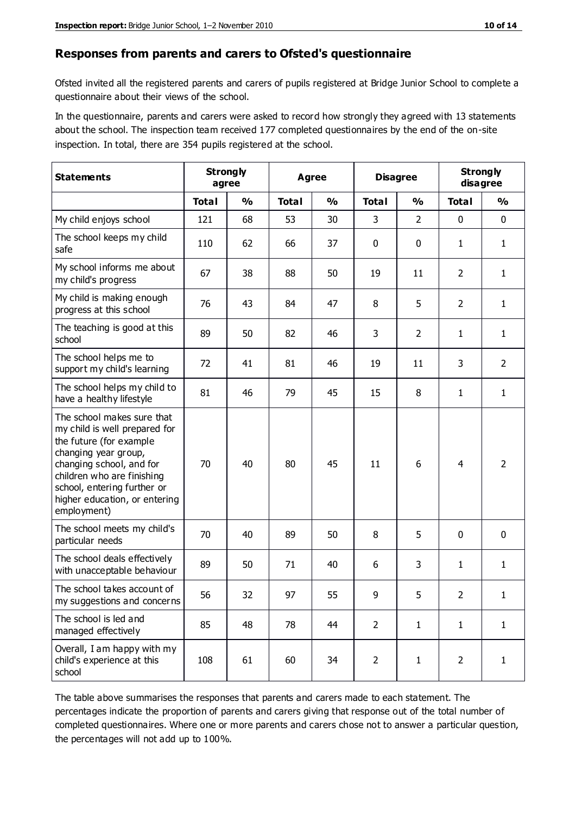#### **Responses from parents and carers to Ofsted's questionnaire**

Ofsted invited all the registered parents and carers of pupils registered at Bridge Junior School to complete a questionnaire about their views of the school.

In the questionnaire, parents and carers were asked to record how strongly they agreed with 13 statements about the school. The inspection team received 177 completed questionnaires by the end of the on-site inspection. In total, there are 354 pupils registered at the school.

| <b>Statements</b>                                                                                                                                                                                                                                       | <b>Strongly</b><br>agree |               | <b>Agree</b> |               | <b>Disagree</b> |                | <b>Strongly</b><br>disagree |                |
|---------------------------------------------------------------------------------------------------------------------------------------------------------------------------------------------------------------------------------------------------------|--------------------------|---------------|--------------|---------------|-----------------|----------------|-----------------------------|----------------|
|                                                                                                                                                                                                                                                         | <b>Total</b>             | $\frac{0}{0}$ | <b>Total</b> | $\frac{0}{0}$ | <b>Total</b>    | $\frac{0}{0}$  | <b>Total</b>                | $\frac{0}{0}$  |
| My child enjoys school                                                                                                                                                                                                                                  | 121                      | 68            | 53           | 30            | 3               | $\overline{2}$ | $\mathbf 0$                 | $\mathbf 0$    |
| The school keeps my child<br>safe                                                                                                                                                                                                                       | 110                      | 62            | 66           | 37            | 0               | 0              | 1                           | $\mathbf{1}$   |
| My school informs me about<br>my child's progress                                                                                                                                                                                                       | 67                       | 38            | 88           | 50            | 19              | 11             | $\overline{2}$              | $\mathbf{1}$   |
| My child is making enough<br>progress at this school                                                                                                                                                                                                    | 76                       | 43            | 84           | 47            | 8               | 5              | $\overline{2}$              | 1              |
| The teaching is good at this<br>school                                                                                                                                                                                                                  | 89                       | 50            | 82           | 46            | 3               | $\overline{2}$ | 1                           | $\mathbf{1}$   |
| The school helps me to<br>support my child's learning                                                                                                                                                                                                   | 72                       | 41            | 81           | 46            | 19              | 11             | 3                           | $\overline{2}$ |
| The school helps my child to<br>have a healthy lifestyle                                                                                                                                                                                                | 81                       | 46            | 79           | 45            | 15              | 8              | $\mathbf{1}$                | $\mathbf{1}$   |
| The school makes sure that<br>my child is well prepared for<br>the future (for example<br>changing year group,<br>changing school, and for<br>children who are finishing<br>school, entering further or<br>higher education, or entering<br>employment) | 70                       | 40            | 80           | 45            | 11              | 6              | 4                           | $\overline{2}$ |
| The school meets my child's<br>particular needs                                                                                                                                                                                                         | 70                       | 40            | 89           | 50            | 8               | 5              | $\mathbf 0$                 | $\mathbf 0$    |
| The school deals effectively<br>with unacceptable behaviour                                                                                                                                                                                             | 89                       | 50            | 71           | 40            | 6               | 3              | 1                           | $\mathbf{1}$   |
| The school takes account of<br>my suggestions and concerns                                                                                                                                                                                              | 56                       | 32            | 97           | 55            | 9               | 5              | $\overline{2}$              | 1              |
| The school is led and<br>managed effectively                                                                                                                                                                                                            | 85                       | 48            | 78           | 44            | $\overline{2}$  | $\mathbf{1}$   | $\mathbf{1}$                | $\mathbf{1}$   |
| Overall, I am happy with my<br>child's experience at this<br>school                                                                                                                                                                                     | 108                      | 61            | 60           | 34            | $\overline{2}$  | $\mathbf{1}$   | $\overline{2}$              | $\mathbf{1}$   |

The table above summarises the responses that parents and carers made to each statement. The percentages indicate the proportion of parents and carers giving that response out of the total number of completed questionnaires. Where one or more parents and carers chose not to answer a particular question, the percentages will not add up to 100%.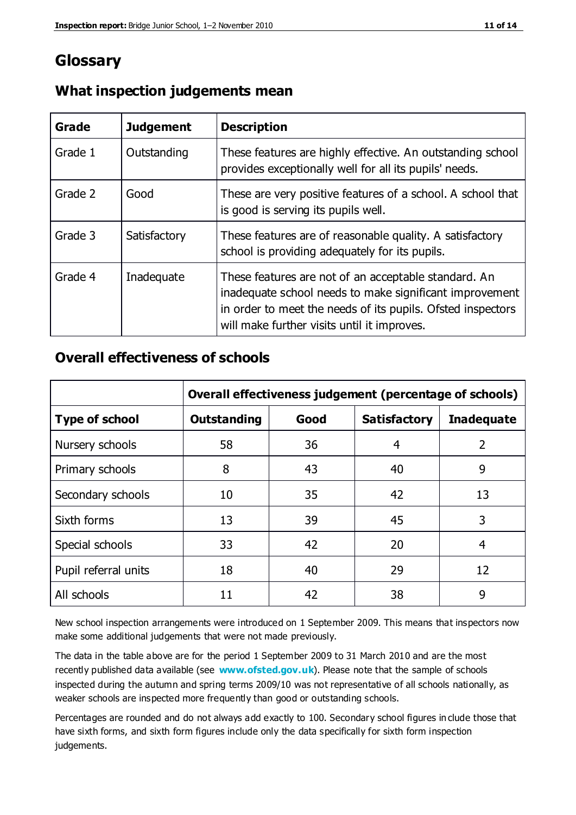# **Glossary**

| Grade   | <b>Judgement</b> | <b>Description</b>                                                                                                                                                                                                            |
|---------|------------------|-------------------------------------------------------------------------------------------------------------------------------------------------------------------------------------------------------------------------------|
| Grade 1 | Outstanding      | These features are highly effective. An outstanding school<br>provides exceptionally well for all its pupils' needs.                                                                                                          |
| Grade 2 | Good             | These are very positive features of a school. A school that<br>is good is serving its pupils well.                                                                                                                            |
| Grade 3 | Satisfactory     | These features are of reasonable quality. A satisfactory<br>school is providing adequately for its pupils.                                                                                                                    |
| Grade 4 | Inadequate       | These features are not of an acceptable standard. An<br>inadequate school needs to make significant improvement<br>in order to meet the needs of its pupils. Ofsted inspectors<br>will make further visits until it improves. |

### **What inspection judgements mean**

### **Overall effectiveness of schools**

|                       | Overall effectiveness judgement (percentage of schools) |      |                     |                   |
|-----------------------|---------------------------------------------------------|------|---------------------|-------------------|
| <b>Type of school</b> | <b>Outstanding</b>                                      | Good | <b>Satisfactory</b> | <b>Inadequate</b> |
| Nursery schools       | 58                                                      | 36   | 4                   | 2                 |
| Primary schools       | 8                                                       | 43   | 40                  | 9                 |
| Secondary schools     | 10                                                      | 35   | 42                  | 13                |
| Sixth forms           | 13                                                      | 39   | 45                  | 3                 |
| Special schools       | 33                                                      | 42   | 20                  | 4                 |
| Pupil referral units  | 18                                                      | 40   | 29                  | 12                |
| All schools           | 11                                                      | 42   | 38                  | 9                 |

New school inspection arrangements were introduced on 1 September 2009. This means that inspectors now make some additional judgements that were not made previously.

The data in the table above are for the period 1 September 2009 to 31 March 2010 and are the most recently published data available (see **[www.ofsted.gov.uk](http://www.ofsted.gov.uk/)**). Please note that the sample of schools inspected during the autumn and spring terms 2009/10 was not representative of all schools nationally, as weaker schools are inspected more frequently than good or outstanding schools.

Percentages are rounded and do not always add exactly to 100. Secondary school figures in clude those that have sixth forms, and sixth form figures include only the data specifically for sixth form inspection judgements.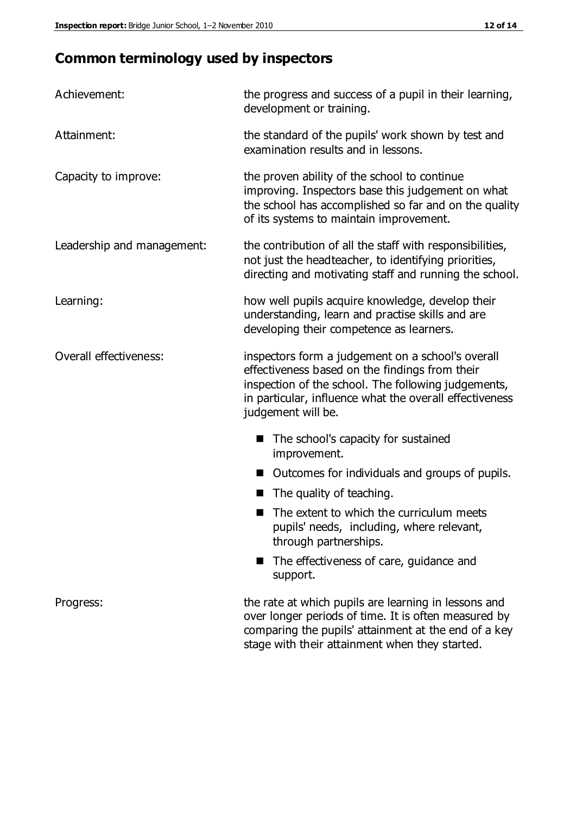# **Common terminology used by inspectors**

| Achievement:               | the progress and success of a pupil in their learning,<br>development or training.                                                                                                                                                          |  |  |
|----------------------------|---------------------------------------------------------------------------------------------------------------------------------------------------------------------------------------------------------------------------------------------|--|--|
| Attainment:                | the standard of the pupils' work shown by test and<br>examination results and in lessons.                                                                                                                                                   |  |  |
| Capacity to improve:       | the proven ability of the school to continue<br>improving. Inspectors base this judgement on what<br>the school has accomplished so far and on the quality<br>of its systems to maintain improvement.                                       |  |  |
| Leadership and management: | the contribution of all the staff with responsibilities,<br>not just the headteacher, to identifying priorities,<br>directing and motivating staff and running the school.                                                                  |  |  |
| Learning:                  | how well pupils acquire knowledge, develop their<br>understanding, learn and practise skills and are<br>developing their competence as learners.                                                                                            |  |  |
| Overall effectiveness:     | inspectors form a judgement on a school's overall<br>effectiveness based on the findings from their<br>inspection of the school. The following judgements,<br>in particular, influence what the overall effectiveness<br>judgement will be. |  |  |
|                            | The school's capacity for sustained<br>improvement.                                                                                                                                                                                         |  |  |
|                            | Outcomes for individuals and groups of pupils.                                                                                                                                                                                              |  |  |
|                            | The quality of teaching.                                                                                                                                                                                                                    |  |  |
|                            | The extent to which the curriculum meets<br>pupils' needs, including, where relevant,<br>through partnerships.                                                                                                                              |  |  |
|                            | The effectiveness of care, guidance and<br>support.                                                                                                                                                                                         |  |  |
| Progress:                  | the rate at which pupils are learning in lessons and<br>over longer periods of time. It is often measured by<br>comparing the pupils' attainment at the end of a key                                                                        |  |  |

stage with their attainment when they started.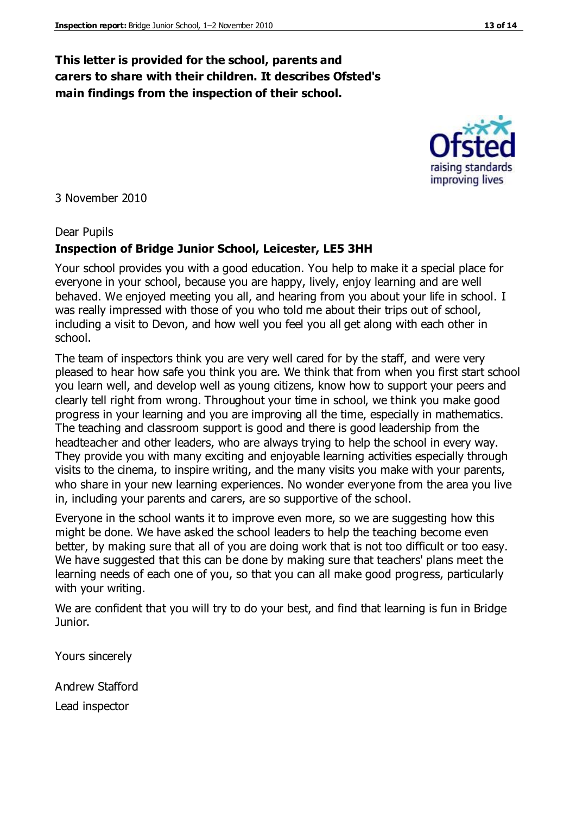# **This letter is provided for the school, parents and carers to share with their children. It describes Ofsted's main findings from the inspection of their school.**

#### 3 November 2010

#### Dear Pupils

### **Inspection of Bridge Junior School, Leicester, LE5 3HH**

Your school provides you with a good education. You help to make it a special place for everyone in your school, because you are happy, lively, enjoy learning and are well behaved. We enjoyed meeting you all, and hearing from you about your life in school. I was really impressed with those of you who told me about their trips out of school, including a visit to Devon, and how well you feel you all get along with each other in school.

The team of inspectors think you are very well cared for by the staff, and were very pleased to hear how safe you think you are. We think that from when you first start school you learn well, and develop well as young citizens, know how to support your peers and clearly tell right from wrong. Throughout your time in school, we think you make good progress in your learning and you are improving all the time, especially in mathematics. The teaching and classroom support is good and there is good leadership from the headteacher and other leaders, who are always trying to help the school in every way. They provide you with many exciting and enjoyable learning activities especially through visits to the cinema, to inspire writing, and the many visits you make with your parents, who share in your new learning experiences. No wonder everyone from the area you live in, including your parents and carers, are so supportive of the school.

Everyone in the school wants it to improve even more, so we are suggesting how this might be done. We have asked the school leaders to help the teaching become even better, by making sure that all of you are doing work that is not too difficult or too easy. We have suggested that this can be done by making sure that teachers' plans meet the learning needs of each one of you, so that you can all make good progress, particularly with your writing.

We are confident that you will try to do your best, and find that learning is fun in Bridge Junior.

Yours sincerely

Andrew Stafford Lead inspector